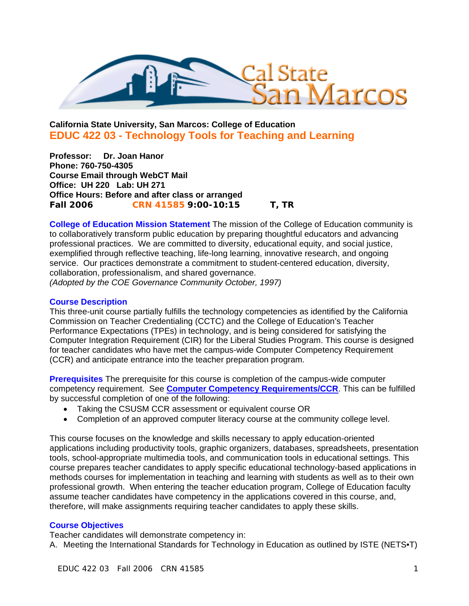

# **California State University, San Marcos: College of Education EDUC 422 03 - Technology Tools for Teaching and Learning**

**Professor: Dr. Joan Hanor Phone: 760-750-4305 Course Email through WebCT Mail Office: UH 220 Lab: UH 271 Office Hours: Before and after class or arranged Fall 2006 CRN 41585 9:00-10:15 T, TR** 

**College of Education Mission Statement** The mission of the College of Education community is to collaboratively transform public education by preparing thoughtful educators and advancing professional practices. We are committed to diversity, educational equity, and social justice, exemplified through reflective teaching, life-long learning, innovative research, and ongoing service. Our practices demonstrate a commitment to student-centered education, diversity, collaboration, professionalism, and shared governance. *(Adopted by the COE Governance Community October, 1997)* 

## **Course Description**

This three-unit course partially fulfills the technology competencies as identified by the California Commission on Teacher Credentialing (CCTC) and the College of Education's Teacher Performance Expectations (TPEs) in technology, and is being considered for satisfying the Computer Integration Requirement (CIR) for the Liberal Studies Program. This course is designed for teacher candidates who have met the campus-wide Computer Competency Requirement (CCR) and anticipate entrance into the teacher preparation program.

**Prerequisites** The prerequisite for this course is completion of the campus-wide computer competency requirement. See **Computer Competency Requirements/CCR**. This can be fulfilled by successful completion of one of the following:

- Taking the CSUSM CCR assessment or equivalent course OR
- Completion of an approved computer literacy course at the community college level.

This course focuses on the knowledge and skills necessary to apply education-oriented applications including productivity tools, graphic organizers, databases, spreadsheets, presentation tools, school-appropriate multimedia tools, and communication tools in educational settings. This course prepares teacher candidates to apply specific educational technology-based applications in methods courses for implementation in teaching and learning with students as well as to their own professional growth. When entering the teacher education program, College of Education faculty assume teacher candidates have competency in the applications covered in this course, and, therefore, will make assignments requiring teacher candidates to apply these skills.

# **Course Objectives**

Teacher candidates will demonstrate competency in:

A. Meeting the International Standards for Technology in Education as outlined by ISTE (NETS•T)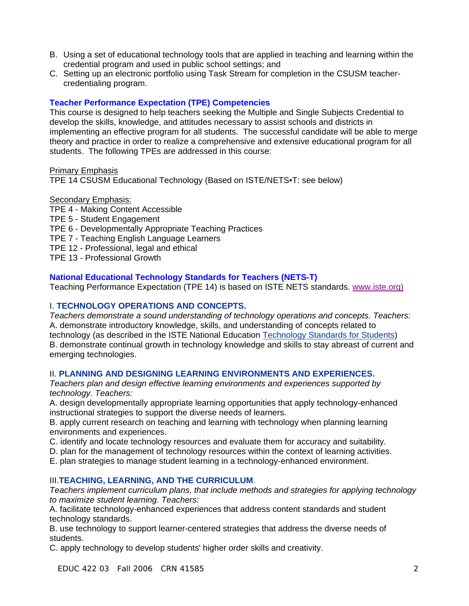- B. Using a set of educational technology tools that are applied in teaching and learning within the credential program and used in public school settings; and
- C. Setting up an electronic portfolio using Task Stream for completion in the CSUSM teachercredentialing program.

# **Teacher Performance Expectation (TPE) Competencies**

This course is designed to help teachers seeking the Multiple and Single Subjects Credential to develop the skills, knowledge, and attitudes necessary to assist schools and districts in implementing an effective program for all students. The successful candidate will be able to merge theory and practice in order to realize a comprehensive and extensive educational program for all students. The following TPEs are addressed in this course:

Primary Emphasis

TPE 14 CSUSM Educational Technology (Based on ISTE/NETS•T: see below)

## Secondary Emphasis:

- TPE 4 Making Content Accessible TPE 5 - Student Engagement TPE 6 - Developmentally Appropriate Teaching Practices TPE 7 - Teaching English Language Learners
- TPE 12 Professional, legal and ethical
- 
- TPE 13 Professional Growth

# **National Educational Technology Standards for Teachers (NETS-T)**

Teaching Performance Expectation (TPE 14) is based on ISTE NETS standards. www.iste.org)

# I. **TECHNOLOGY OPERATIONS AND CONCEPTS.**

*Teachers demonstrate a sound understanding of technology operations and concepts. Teachers:* A. demonstrate introductory knowledge, skills, and understanding of concepts related to technology (as described in the ISTE National Education Technology Standards for Students) B. demonstrate continual growth in technology knowledge and skills to stay abreast of current and emerging technologies.

## II. **PLANNING AND DESIGNING LEARNING ENVIRONMENTS AND EXPERIENCES.**

*Teachers plan and design effective learning environments and experiences supported by technology. Teachers:*

A. design developmentally appropriate learning opportunities that apply technology-enhanced instructional strategies to support the diverse needs of learners.

B. apply current research on teaching and learning with technology when planning learning environments and experiences.

- C. identify and locate technology resources and evaluate them for accuracy and suitability.
- D. plan for the management of technology resources within the context of learning activities.
- E. plan strategies to manage student learning in a technology-enhanced environment.

## III.**TEACHING, LEARNING, AND THE CURRICULUM**.

*Teachers implement curriculum plans, that include methods and strategies for applying technology to maximize student learning. Teachers:*

A. facilitate technology-enhanced experiences that address content standards and student technology standards.

B. use technology to support learner-centered strategies that address the diverse needs of students.

C. apply technology to develop students' higher order skills and creativity.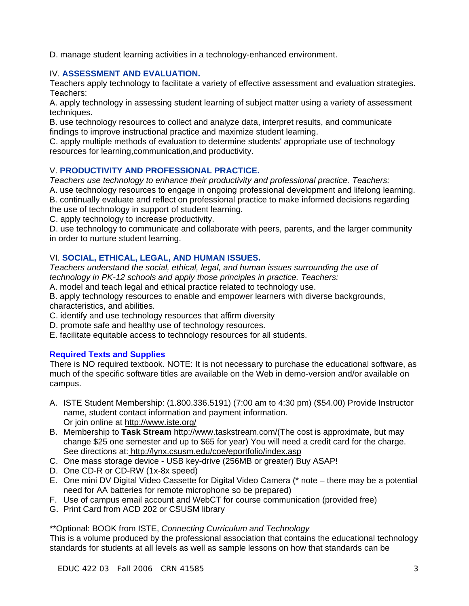D. manage student learning activities in a technology-enhanced environment.

# IV. **ASSESSMENT AND EVALUATION.**

Teachers apply technology to facilitate a variety of effective assessment and evaluation strategies. Teachers:

A. apply technology in assessing student learning of subject matter using a variety of assessment techniques.

B. use technology resources to collect and analyze data, interpret results, and communicate findings to improve instructional practice and maximize student learning.

C. apply multiple methods of evaluation to determine students' appropriate use of technology resources for learning,communication,and productivity.

# V. **PRODUCTIVITY AND PROFESSIONAL PRACTICE.**

*Teachers use technology to enhance their productivity and professional practice. Teachers:*

A. use technology resources to engage in ongoing professional development and lifelong learning. B. continually evaluate and reflect on professional practice to make informed decisions regarding the use of technology in support of student learning.

C. apply technology to increase productivity.

D. use technology to communicate and collaborate with peers, parents, and the larger community in order to nurture student learning.

# VI. **SOCIAL, ETHICAL, LEGAL, AND HUMAN ISSUES.**

*Teachers understand the social, ethical, legal, and human issues surrounding the use of technology in PK-12 schools and apply those principles in practice. Teachers:*

A. model and teach legal and ethical practice related to technology use.

B. apply technology resources to enable and empower learners with diverse backgrounds, characteristics, and abilities.

- C. identify and use technology resources that affirm diversity
- D. promote safe and healthy use of technology resources.
- E. facilitate equitable access to technology resources for all students.

## **Required Texts and Supplies**

There is NO required textbook. NOTE: It is not necessary to purchase the educational software, as much of the specific software titles are available on the Web in demo-version and/or available on campus.

- A. **ISTE Student Membership:** (1.800.336.5191) (7:00 am to 4:30 pm) (\$54.00) Provide Instructor name, student contact information and payment information. Or join online at http://www.iste.org/
- B. Membership to **Task Stream** http://www.taskstream.com/(The cost is approximate, but may change \$25 one semester and up to \$65 for year) You will need a credit card for the charge. See directions at: http://lynx.csusm.edu/coe/eportfolio/index.asp
- C. One mass storage device USB key-drive (256MB or greater) Buy ASAP!
- D. One CD-R or CD-RW (1x-8x speed)
- E. One mini DV Digital Video Cassette for Digital Video Camera (\* note there may be a potential need for AA batteries for remote microphone so be prepared)
- F. Use of campus email account and WebCT for course communication (provided free)
- G. Print Card from ACD 202 or CSUSM library

\*\*Optional: BOOK from ISTE, *Connecting Curriculum and Technology*

This is a volume produced by the professional association that contains the educational technology standards for students at all levels as well as sample lessons on how that standards can be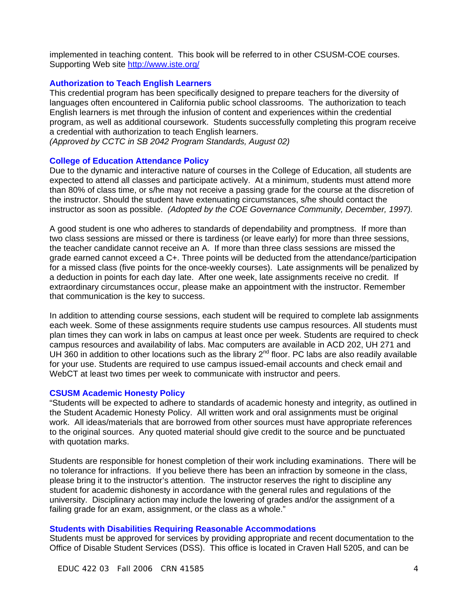implemented in teaching content. This book will be referred to in other CSUSM-COE courses. Supporting Web site http://www.iste.org/

#### **Authorization to Teach English Learners**

This credential program has been specifically designed to prepare teachers for the diversity of languages often encountered in California public school classrooms. The authorization to teach English learners is met through the infusion of content and experiences within the credential program, as well as additional coursework. Students successfully completing this program receive a credential with authorization to teach English learners.

*(Approved by CCTC in SB 2042 Program Standards, August 02)*

#### **College of Education Attendance Policy**

Due to the dynamic and interactive nature of courses in the College of Education, all students are expected to attend all classes and participate actively. At a minimum, students must attend more than 80% of class time, or s/he may not receive a passing grade for the course at the discretion of the instructor. Should the student have extenuating circumstances, s/he should contact the instructor as soon as possible. *(Adopted by the COE Governance Community, December, 1997).*

A good student is one who adheres to standards of dependability and promptness. If more than two class sessions are missed or there is tardiness (or leave early) for more than three sessions, the teacher candidate cannot receive an A. If more than three class sessions are missed the grade earned cannot exceed a C+. Three points will be deducted from the attendance/participation for a missed class (five points for the once-weekly courses). Late assignments will be penalized by a deduction in points for each day late. After one week, late assignments receive no credit. If extraordinary circumstances occur, please make an appointment with the instructor. Remember that communication is the key to success.

In addition to attending course sessions, each student will be required to complete lab assignments each week. Some of these assignments require students use campus resources. All students must plan times they can work in labs on campus at least once per week. Students are required to check campus resources and availability of labs. Mac computers are available in ACD 202, UH 271 and UH 360 in addition to other locations such as the library  $2^{nd}$  floor. PC labs are also readily available for your use. Students are required to use campus issued-email accounts and check email and WebCT at least two times per week to communicate with instructor and peers.

#### **CSUSM Academic Honesty Policy**

"Students will be expected to adhere to standards of academic honesty and integrity, as outlined in the Student Academic Honesty Policy. All written work and oral assignments must be original work. All ideas/materials that are borrowed from other sources must have appropriate references to the original sources. Any quoted material should give credit to the source and be punctuated with quotation marks.

Students are responsible for honest completion of their work including examinations. There will be no tolerance for infractions. If you believe there has been an infraction by someone in the class, please bring it to the instructor's attention. The instructor reserves the right to discipline any student for academic dishonesty in accordance with the general rules and regulations of the university. Disciplinary action may include the lowering of grades and/or the assignment of a failing grade for an exam, assignment, or the class as a whole."

#### **Students with Disabilities Requiring Reasonable Accommodations**

Students must be approved for services by providing appropriate and recent documentation to the Office of Disable Student Services (DSS). This office is located in Craven Hall 5205, and can be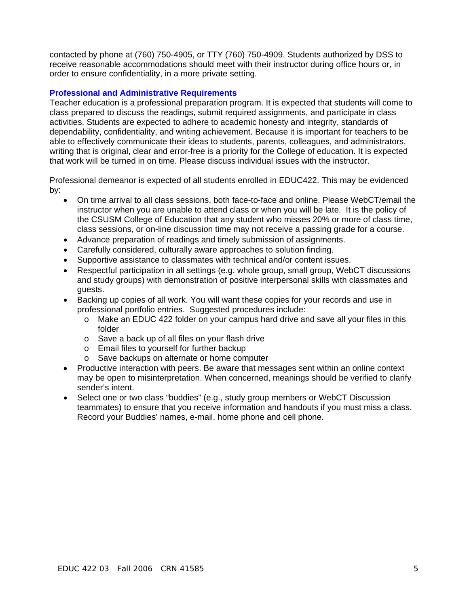contacted by phone at (760) 750-4905, or TTY (760) 750-4909. Students authorized by DSS to receive reasonable accommodations should meet with their instructor during office hours or, in order to ensure confidentiality, in a more private setting.

# **Professional and Administrative Requirements**

Teacher education is a professional preparation program. It is expected that students will come to class prepared to discuss the readings, submit required assignments, and participate in class activities. Students are expected to adhere to academic honesty and integrity, standards of dependability, confidentiality, and writing achievement. Because it is important for teachers to be able to effectively communicate their ideas to students, parents, colleagues, and administrators, writing that is original, clear and error-free is a priority for the College of education. It is expected that work will be turned in on time. Please discuss individual issues with the instructor.

Professional demeanor is expected of all students enrolled in EDUC422. This may be evidenced by:

- On time arrival to all class sessions, both face-to-face and online. Please WebCT/email the instructor when you are unable to attend class or when you will be late. It is the policy of the CSUSM College of Education that any student who misses 20% or more of class time, class sessions, or on-line discussion time may not receive a passing grade for a course.
- Advance preparation of readings and timely submission of assignments.
- Carefully considered, culturally aware approaches to solution finding.
- Supportive assistance to classmates with technical and/or content issues.
- Respectful participation in all settings (e.g. whole group, small group, WebCT discussions and study groups) with demonstration of positive interpersonal skills with classmates and guests.
- Backing up copies of all work. You will want these copies for your records and use in professional portfolio entries. Suggested procedures include:
	- o Make an EDUC 422 folder on your campus hard drive and save all your files in this folder
	- o Save a back up of all files on your flash drive
	- o Email files to yourself for further backup
	- o Save backups on alternate or home computer
- Productive interaction with peers. Be aware that messages sent within an online context may be open to misinterpretation. When concerned, meanings should be verified to clarify sender's intent.
- Select one or two class "buddies" (e.g., study group members or WebCT Discussion teammates) to ensure that you receive information and handouts if you must miss a class. Record your Buddies' names, e-mail, home phone and cell phone.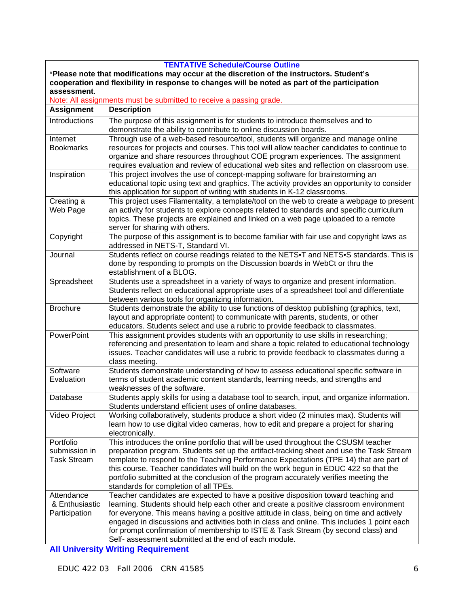| <b>TENTATIVE Schedule/Course Outline</b>                                                      |                                                                                             |  |  |  |
|-----------------------------------------------------------------------------------------------|---------------------------------------------------------------------------------------------|--|--|--|
| *Please note that modifications may occur at the discretion of the instructors. Student's     |                                                                                             |  |  |  |
| cooperation and flexibility in response to changes will be noted as part of the participation |                                                                                             |  |  |  |
| assessment.                                                                                   |                                                                                             |  |  |  |
| Note: All assignments must be submitted to receive a passing grade.                           |                                                                                             |  |  |  |
| <b>Assignment</b>                                                                             | <b>Description</b>                                                                          |  |  |  |
| Introductions                                                                                 | The purpose of this assignment is for students to introduce themselves and to               |  |  |  |
|                                                                                               | demonstrate the ability to contribute to online discussion boards.                          |  |  |  |
| Internet                                                                                      | Through use of a web-based resource/tool, students will organize and manage online          |  |  |  |
| <b>Bookmarks</b>                                                                              | resources for projects and courses. This tool will allow teacher candidates to continue to  |  |  |  |
|                                                                                               | organize and share resources throughout COE program experiences. The assignment             |  |  |  |
|                                                                                               | requires evaluation and review of educational web sites and reflection on classroom use.    |  |  |  |
| Inspiration                                                                                   | This project involves the use of concept-mapping software for brainstorming an              |  |  |  |
|                                                                                               | educational topic using text and graphics. The activity provides an opportunity to consider |  |  |  |
|                                                                                               | this application for support of writing with students in K-12 classrooms.                   |  |  |  |
| Creating a                                                                                    | This project uses Filamentality, a template/tool on the web to create a webpage to present  |  |  |  |
| Web Page                                                                                      | an activity for students to explore concepts related to standards and specific curriculum   |  |  |  |
|                                                                                               | topics. These projects are explained and linked on a web page uploaded to a remote          |  |  |  |
|                                                                                               | server for sharing with others.                                                             |  |  |  |
| Copyright                                                                                     | The purpose of this assignment is to become familiar with fair use and copyright laws as    |  |  |  |
|                                                                                               | addressed in NETS-T, Standard VI.                                                           |  |  |  |
| Journal                                                                                       | Students reflect on course readings related to the NETS. T and NETS. Standards. This is     |  |  |  |
|                                                                                               | done by responding to prompts on the Discussion boards in WebCt or thru the                 |  |  |  |
|                                                                                               | establishment of a BLOG.                                                                    |  |  |  |
| Spreadsheet                                                                                   | Students use a spreadsheet in a variety of ways to organize and present information.        |  |  |  |
|                                                                                               | Students reflect on educational appropriate uses of a spreadsheet tool and differentiate    |  |  |  |
|                                                                                               | between various tools for organizing information.                                           |  |  |  |
| <b>Brochure</b>                                                                               | Students demonstrate the ability to use functions of desktop publishing (graphics, text,    |  |  |  |
|                                                                                               | layout and appropriate content) to communicate with parents, students, or other             |  |  |  |
|                                                                                               | educators. Students select and use a rubric to provide feedback to classmates.              |  |  |  |
| <b>PowerPoint</b>                                                                             | This assignment provides students with an opportunity to use skills in researching;         |  |  |  |
|                                                                                               | referencing and presentation to learn and share a topic related to educational technology   |  |  |  |
|                                                                                               | issues. Teacher candidates will use a rubric to provide feedback to classmates during a     |  |  |  |
|                                                                                               | class meeting.                                                                              |  |  |  |
| Software                                                                                      | Students demonstrate understanding of how to assess educational specific software in        |  |  |  |
| Evaluation                                                                                    | terms of student academic content standards, learning needs, and strengths and              |  |  |  |
|                                                                                               | weaknesses of the software.                                                                 |  |  |  |
| Database                                                                                      | Students apply skills for using a database tool to search, input, and organize information. |  |  |  |
|                                                                                               | Students understand efficient uses of online databases.                                     |  |  |  |
| Video Project                                                                                 | Working collaboratively, students produce a short video (2 minutes max). Students will      |  |  |  |
|                                                                                               | learn how to use digital video cameras, how to edit and prepare a project for sharing       |  |  |  |
|                                                                                               | electronically.                                                                             |  |  |  |
| Portfolio                                                                                     | This introduces the online portfolio that will be used throughout the CSUSM teacher         |  |  |  |
| submission in                                                                                 | preparation program. Students set up the artifact-tracking sheet and use the Task Stream    |  |  |  |
| <b>Task Stream</b>                                                                            | template to respond to the Teaching Performance Expectations (TPE 14) that are part of      |  |  |  |
|                                                                                               | this course. Teacher candidates will build on the work begun in EDUC 422 so that the        |  |  |  |
|                                                                                               | portfolio submitted at the conclusion of the program accurately verifies meeting the        |  |  |  |
|                                                                                               | standards for completion of all TPEs.                                                       |  |  |  |
| Attendance                                                                                    | Teacher candidates are expected to have a positive disposition toward teaching and          |  |  |  |
| & Enthusiastic                                                                                | learning. Students should help each other and create a positive classroom environment       |  |  |  |
| Participation                                                                                 | for everyone. This means having a positive attitude in class, being on time and actively    |  |  |  |
|                                                                                               | engaged in discussions and activities both in class and online. This includes 1 point each  |  |  |  |
|                                                                                               | for prompt confirmation of membership to ISTE & Task Stream (by second class) and           |  |  |  |
|                                                                                               | Self- assessment submitted at the end of each module.                                       |  |  |  |
|                                                                                               |                                                                                             |  |  |  |

**All University Writing Requirement**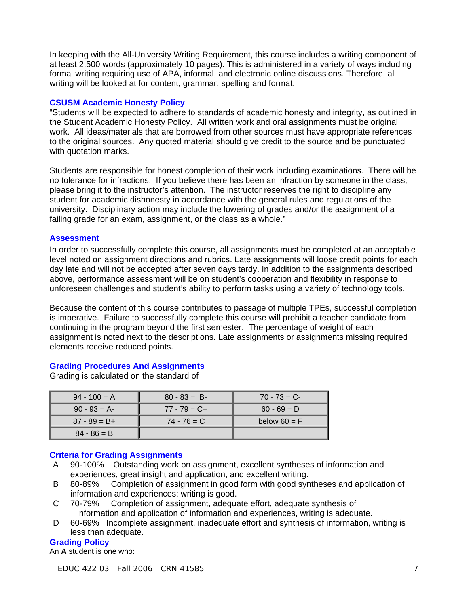In keeping with the All-University Writing Requirement, this course includes a writing component of at least 2,500 words (approximately 10 pages). This is administered in a variety of ways including formal writing requiring use of APA, informal, and electronic online discussions. Therefore, all writing will be looked at for content, grammar, spelling and format.

# **CSUSM Academic Honesty Policy**

"Students will be expected to adhere to standards of academic honesty and integrity, as outlined in the Student Academic Honesty Policy. All written work and oral assignments must be original work. All ideas/materials that are borrowed from other sources must have appropriate references to the original sources. Any quoted material should give credit to the source and be punctuated with quotation marks.

Students are responsible for honest completion of their work including examinations. There will be no tolerance for infractions. If you believe there has been an infraction by someone in the class, please bring it to the instructor's attention. The instructor reserves the right to discipline any student for academic dishonesty in accordance with the general rules and regulations of the university. Disciplinary action may include the lowering of grades and/or the assignment of a failing grade for an exam, assignment, or the class as a whole."

## **Assessment**

In order to successfully complete this course, all assignments must be completed at an acceptable level noted on assignment directions and rubrics. Late assignments will loose credit points for each day late and will not be accepted after seven days tardy. In addition to the assignments described above, performance assessment will be on student's cooperation and flexibility in response to unforeseen challenges and student's ability to perform tasks using a variety of technology tools.

Because the content of this course contributes to passage of multiple TPEs, successful completion is imperative. Failure to successfully complete this course will prohibit a teacher candidate from continuing in the program beyond the first semester. The percentage of weight of each assignment is noted next to the descriptions. Late assignments or assignments missing required elements receive reduced points.

# **Grading Procedures And Assignments**

Grading is calculated on the standard of

| $94 - 100 = A$  | $80 - 83 = B$   | $70 - 73 = C$  |
|-----------------|-----------------|----------------|
| $90 - 93 = A$   | $77 - 79 = C +$ | $60 - 69 = D$  |
| $87 - 89 = B +$ | $74 - 76 = C$   | below $60 = F$ |
| $84 - 86 = B$   |                 |                |

# **Criteria for Grading Assignments**

- A 90-100% Outstanding work on assignment, excellent syntheses of information and experiences, great insight and application, and excellent writing.<br>80-89% Completion of assignment in good form with good svn
- B 80-89% Completion of assignment in good form with good syntheses and application of information and experiences; writing is good.
- C 70-79% Completion of assignment, adequate effort, adequate synthesis of information and application of information and experiences, writing is adequate.
- D 60-69% Incomplete assignment, inadequate effort and synthesis of information, writing is less than adequate.

# **Grading Policy**

An **A** student is one who: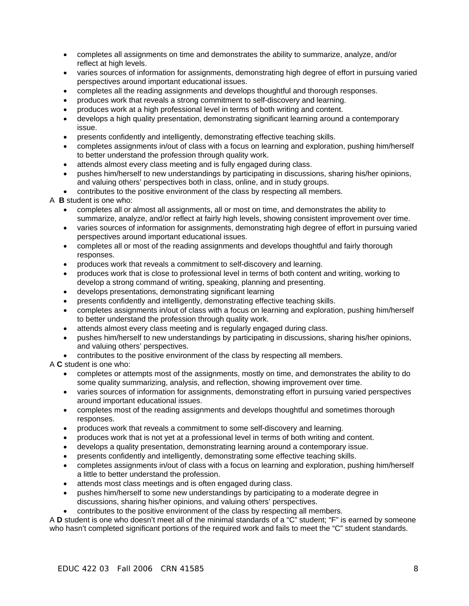- completes all assignments on time and demonstrates the ability to summarize, analyze, and/or reflect at high levels.
- varies sources of information for assignments, demonstrating high degree of effort in pursuing varied perspectives around important educational issues.
- completes all the reading assignments and develops thoughtful and thorough responses.
- produces work that reveals a strong commitment to self-discovery and learning.
- produces work at a high professional level in terms of both writing and content.
- develops a high quality presentation, demonstrating significant learning around a contemporary issue.
- presents confidently and intelligently, demonstrating effective teaching skills.
- completes assignments in/out of class with a focus on learning and exploration, pushing him/herself to better understand the profession through quality work.
- attends almost every class meeting and is fully engaged during class.
- pushes him/herself to new understandings by participating in discussions, sharing his/her opinions, and valuing others' perspectives both in class, online, and in study groups.
- contributes to the positive environment of the class by respecting all members.

## A **B** student is one who:

- completes all or almost all assignments, all or most on time, and demonstrates the ability to summarize, analyze, and/or reflect at fairly high levels, showing consistent improvement over time.
- varies sources of information for assignments, demonstrating high degree of effort in pursuing varied perspectives around important educational issues.
- completes all or most of the reading assignments and develops thoughtful and fairly thorough responses.
- produces work that reveals a commitment to self-discovery and learning.
- produces work that is close to professional level in terms of both content and writing, working to develop a strong command of writing, speaking, planning and presenting.
- develops presentations, demonstrating significant learning
- presents confidently and intelligently, demonstrating effective teaching skills.
- completes assignments in/out of class with a focus on learning and exploration, pushing him/herself to better understand the profession through quality work.
- attends almost every class meeting and is regularly engaged during class.
- pushes him/herself to new understandings by participating in discussions, sharing his/her opinions, and valuing others' perspectives.
- contributes to the positive environment of the class by respecting all members.

## A **C** student is one who:

- completes or attempts most of the assignments, mostly on time, and demonstrates the ability to do some quality summarizing, analysis, and reflection, showing improvement over time.
- varies sources of information for assignments, demonstrating effort in pursuing varied perspectives around important educational issues.
- completes most of the reading assignments and develops thoughtful and sometimes thorough responses.
- produces work that reveals a commitment to some self-discovery and learning.
- produces work that is not yet at a professional level in terms of both writing and content.
- develops a quality presentation, demonstrating learning around a contemporary issue.
- presents confidently and intelligently, demonstrating some effective teaching skills.
- completes assignments in/out of class with a focus on learning and exploration, pushing him/herself a little to better understand the profession.
- attends most class meetings and is often engaged during class.
- pushes him/herself to some new understandings by participating to a moderate degree in discussions, sharing his/her opinions, and valuing others' perspectives.
- contributes to the positive environment of the class by respecting all members.

A **D** student is one who doesn't meet all of the minimal standards of a "C" student; "F" is earned by someone who hasn't completed significant portions of the required work and fails to meet the "C" student standards.